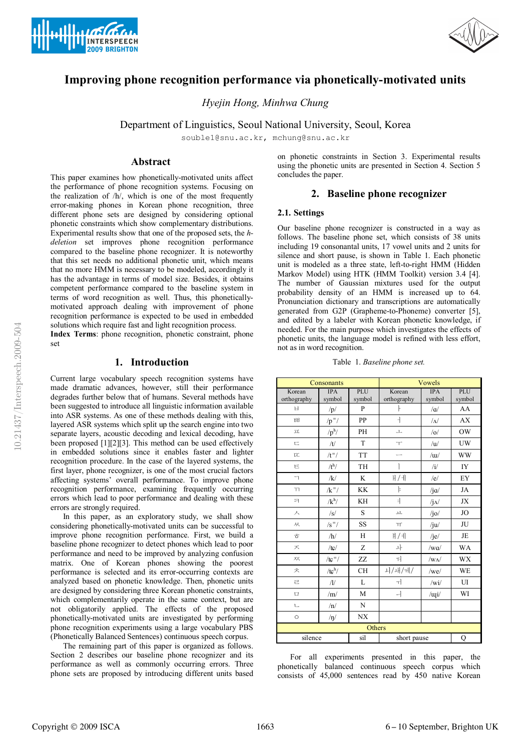



# **Improving phone recognition performance via phonetically-motivated units**

*Hyejin Hong, Minhwa Chung*

Department of Linguistics, Seoul National University, Seoul, Korea

souble1@snu.ac.kr, mchung@snu.ac.kr

### **Abstract**

This paper examines how phonetically-motivated units affect the performance of phone recognition systems. Focusing on the realization of /h/, which is one of the most frequently error-making phones in Korean phone recognition, three different phone sets are designed by considering optional phonetic constraints which show complementary distributions. Experimental results show that one of the proposed sets, the *hdeletion* set improves phone recognition performance compared to the baseline phone recognizer. It is noteworthy that this set needs no additional phonetic unit, which means that no more HMM is necessary to be modeled, accordingly it has the advantage in terms of model size. Besides, it obtains competent performance compared to the baseline system in terms of word recognition as well. Thus, this phoneticallymotivated approach dealing with improvement of phone recognition performance is expected to be used in embedded solutions which require fast and light recognition process.

**Index Terms**: phone recognition, phonetic constraint, phone set

### **1. Introduction**

Current large vocabulary speech recognition systems have made dramatic advances, however, still their performance degrades further below that of humans. Several methods have been suggested to introduce all linguistic information available into ASR systems. As one of these methods dealing with this, layered ASR systems which split up the search engine into two separate layers, acoustic decoding and lexical decoding, have been proposed [1][2][3]. This method can be used effectively in embedded solutions since it enables faster and lighter recognition procedure. In the case of the layered systems, the first layer, phone recognizer, is one of the most crucial factors affecting systems' overall performance. To improve phone recognition performance, examining frequently occurring errors which lead to poor performance and dealing with these errors are strongly required.

In this paper, as an exploratory study, we shall show considering phonetically-motivated units can be successful to improve phone recognition performance. First, we build a baseline phone recognizer to detect phones which lead to poor performance and need to be improved by analyzing confusion matrix. One of Korean phones showing the poorest performance is selected and its error-occurring contexts are analyzed based on phonetic knowledge. Then, phonetic units are designed by considering three Korean phonetic constraints, which complementarily operate in the same context, but are not obligatorily applied. The effects of the proposed phonetically-motivated units are investigated by performing phone recognition experiments using a large vocabulary PBS (Phonetically Balanced Sentences) continuous speech corpus.

The remaining part of this paper is organized as follows. Section 2 describes our baseline phone recognizer and its performance as well as commonly occurring errors. Three phone sets are proposed by introducing different units based on phonetic constraints in Section 3. Experimental results using the phonetic units are presented in Section 4. Section 5 concludes the paper.

## **2. Baseline phone recognizer**

### **2.1. Settings**

Our baseline phone recognizer is constructed in a way as follows. The baseline phone set, which consists of 38 units including 19 consonantal units, 17 vowel units and 2 units for silence and short pause, is shown in Table 1. Each phonetic unit is modeled as a three state, left-to-right HMM (Hidden Markov Model) using HTK (HMM Toolkit) version 3.4 [4]. The number of Gaussian mixtures used for the output probability density of an HMM is increased up to 64. Pronunciation dictionary and transcriptions are automatically generated from G2P (Grapheme-to-Phoneme) converter [5], and edited by a labeler with Korean phonetic knowledge, if needed. For the main purpose which investigates the effects of phonetic units, the language model is refined with less effort, not as in word recognition.

|  | Table 1. Baseline phone set. |  |  |  |
|--|------------------------------|--|--|--|
|--|------------------------------|--|--|--|

| Consonants               |                     |           |                          | Vowels             |           |
|--------------------------|---------------------|-----------|--------------------------|--------------------|-----------|
| Korean                   | <b>IPA</b>          | PLU       | Korean                   | <b>IPA</b>         | PLU       |
| orthography              | symbol              | symbol    | orthography              | symbol             | symbol    |
| 日                        | /p/                 | P         | ŀ                        | $/\alpha$          | AA        |
| <b>HH</b>                | $/p = /$            | PP        | $\overline{\mathcal{L}}$ | $\Lambda$          | <b>AX</b> |
|                          | $/p^h/$             | PH        | 丄                        | /o/                | <b>OW</b> |
| 亡                        | /t/                 | T         | $\top$                   | /u                 | UW        |
| UL.                      | $/t$ <sup>=</sup> / | <b>TT</b> |                          | $\sqrt{u}$         | <b>WW</b> |
| Ε                        | /t <sup>h</sup> /   | TH        |                          | $\mathbf{u}$       | IY        |
| $\overline{\phantom{0}}$ | /k/                 | K         | H/H                      | /e/                | EY        |
| $\overline{\mathbf{1}}$  | $/k$ <sup>=</sup> / | <b>KK</b> | þ                        | $\sqrt{j}a$        | JA        |
| ㅋ                        | $/k^h/$             | KH        | $\exists$                | $\rm j_{\Lambda}/$ | JX        |
| 入                        | /s/                 | S         | $\tau$                   | $/$ jo $/$         | <b>JO</b> |
| 从                        | $/s = /$            | SS        | T                        | /ju/               | JU        |
| ㅎ                        | /h/                 | H         | )   1                    | /je/               | JE        |
| ズ                        | /tc/                | Z         | 나                        | /wa/               | <b>WA</b> |
| 欢                        | /tc $^{-}$ /        | ZZ        | 궈                        | $/w\Lambda$        | <b>WX</b> |
| 天                        | $/tc^{\rm h}/$      | <b>CH</b> | 니/내/제/                   | $/$ we $/$         | <b>WE</b> |
| 근                        | $\sqrt{1/2}$        | L         | ᅱ                        | /wi/               | UI        |
| $\Box$                   | /m/                 | M         | ᅴ                        | /uqi/              | WI        |
| 乚                        | /n/                 | N         |                          |                    |           |
| $\circ$                  | $/\eta/$            | <b>NX</b> |                          |                    |           |
|                          |                     | Others    |                          |                    |           |
| silence                  |                     | sil       | short pause              |                    | Q         |

For all experiments presented in this paper, the phonetically balanced continuous speech corpus which consists of 45,000 sentences read by 450 native Korean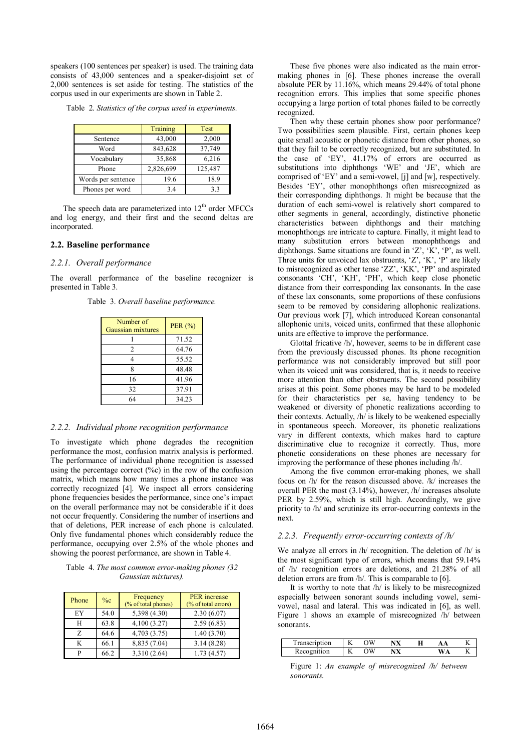speakers (100 sentences per speaker) is used. The training data consists of 43,000 sentences and a speaker-disjoint set of 2,000 sentences is set aside for testing. The statistics of the corpus used in our experiments are shown in Table 2.

|  |  |  |  | Table 2. Statistics of the corpus used in experiments. |
|--|--|--|--|--------------------------------------------------------|
|  |  |  |  |                                                        |

|                    | Training  | Test    |
|--------------------|-----------|---------|
| Sentence           | 43,000    | 2,000   |
| Word               | 843,628   | 37,749  |
| Vocabulary         | 35,868    | 6,216   |
| Phone              | 2,826,699 | 125,487 |
| Words per sentence | 19.6      | 18.9    |
| Phones per word    | 3.4       | 3.3     |

The speech data are parameterized into  $12<sup>th</sup>$  order MFCCs and log energy, and their first and the second deltas are incorporated.

#### **2.2. Baseline performance**

#### *2.2.1. Overall performance*

The overall performance of the baseline recognizer is presented in Table 3.

Table 3. *Overall baseline performance.*

| Number of<br>Gaussian mixtures | PER $(%)$ |
|--------------------------------|-----------|
|                                | 71.52     |
| 2                              | 64.76     |
| 4                              | 55.52     |
| 8                              | 48.48     |
| 16                             | 41.96     |
| 32                             | 37.91     |
| 64                             | 34.23     |

#### *2.2.2. Individual phone recognition performance*

To investigate which phone degrades the recognition performance the most, confusion matrix analysis is performed. The performance of individual phone recognition is assessed using the percentage correct  $(\%c)$  in the row of the confusion matrix, which means how many times a phone instance was correctly recognized [4]. We inspect all errors considering phone frequencies besides the performance, since one's impact on the overall performance may not be considerable if it does not occur frequently. Considering the number of insertions and that of deletions, PER increase of each phone is calculated. Only five fundamental phones which considerably reduce the performance, occupying over 2.5% of the whole phones and showing the poorest performance, are shown in Table 4.

Table 4. *The most common error-making phones (32 Gaussian mixtures).*

| Phone | $\%c$ | Frequency<br>(% of total phones) | <b>PER</b> increase<br>(% of total errors) |
|-------|-------|----------------------------------|--------------------------------------------|
| EY    | 54.0  | 5,398 (4.30)                     | 2.30(6.07)                                 |
| Н     | 63.8  | 4,100 (3.27)                     | 2.59(6.83)                                 |
| Z     | 64.6  | 4,703 (3.75)                     | 1.40(3.70)                                 |
| K     | 66.1  | 8,835 (7.04)                     | 3.14(8.28)                                 |
| D     | 66.2  | 3,310 (2.64)                     | 1.73(4.57)                                 |

These five phones were also indicated as the main errormaking phones in [6]. These phones increase the overall absolute PER by 11.16%, which means 29.44% of total phone recognition errors. This implies that some specific phones occupying a large portion of total phones failed to be correctly recognized.

Then why these certain phones show poor performance? Two possibilities seem plausible. First, certain phones keep quite small acoustic or phonetic distance from other phones, so that they fail to be correctly recognized, but are substituted. In the case of 'EY', 41.17% of errors are occurred as substitutions into diphthongs 'WE' and 'JE', which are comprised of 'EY' and a semi-vowel, [j] and [w], respectively. Besides 'EY', other monophthongs often misrecognized as their corresponding diphthongs. It might be because that the duration of each semi-vowel is relatively short compared to other segments in general, accordingly, distinctive phonetic characteristics between diphthongs and their matching monophthongs are intricate to capture. Finally, it might lead to many substitution errors between monophthongs and diphthongs. Same situations are found in 'Z', 'K', 'P', as well. Three units for unvoiced lax obstruents, 'Z', 'K', 'P' are likely to misrecognized as other tense 'ZZ', 'KK', 'PP' and aspirated consonants 'CH', 'KH', 'PH', which keep close phonetic distance from their corresponding lax consonants. In the case of these lax consonants, some proportions of these confusions seem to be removed by considering allophonic realizations. Our previous work [7], which introduced Korean consonantal allophonic units, voiced units, confirmed that these allophonic units are effective to improve the performance.

Glottal fricative /h/, however, seems to be in different case from the previously discussed phones. Its phone recognition performance was not considerably improved but still poor when its voiced unit was considered, that is, it needs to receive more attention than other obstruents. The second possibility arises at this point. Some phones may be hard to be modeled for their characteristics per se, having tendency to be weakened or diversity of phonetic realizations according to their contexts. Actually, /h/ is likely to be weakened especially in spontaneous speech. Moreover, its phonetic realizations vary in different contexts, which makes hard to capture discriminative clue to recognize it correctly. Thus, more phonetic considerations on these phones are necessary for improving the performance of these phones including /h/.

Among the five common error-making phones, we shall focus on /h/ for the reason discussed above. /k/ increases the overall PER the most (3.14%), however, /h/ increases absolute PER by 2.59%, which is still high. Accordingly, we give priority to /h/ and scrutinize its error-occurring contexts in the next.

#### *2.2.3. Frequently error-occurring contexts of /h/*

We analyze all errors in /h/ recognition. The deletion of /h/ is the most significant type of errors, which means that 59.14% of /h/ recognition errors are deletions, and 21.28% of all deletion errors are from /h/. This is comparable to [6].

It is worthy to note that /h/ is likely to be misrecognized especially between sonorant sounds including vowel, semivowel, nasal and lateral. This was indicated in [6], as well. Figure 1 shows an example of misrecognized /h/ between sonorants.

| m<br>on | <b>Section</b><br>n. | T | A | -- | д |  |
|---------|----------------------|---|---|----|---|--|
|         | <b>1979</b><br>V     |   | ▵ |    |   |  |

Figure 1: *An example of misrecognized /h/ between sonorants.*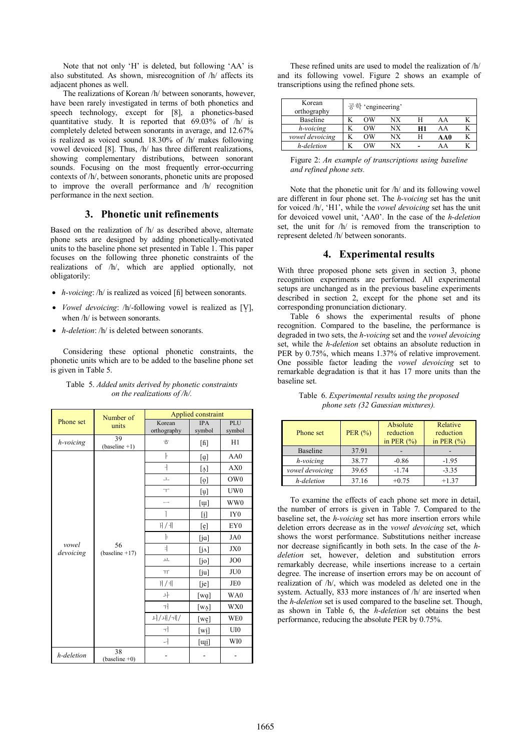Note that not only 'H' is deleted, but following 'AA' is also substituted. As shown, misrecognition of /h/ affects its adjacent phones as well.

The realizations of Korean /h/ between sonorants, however, have been rarely investigated in terms of both phonetics and speech technology, except for [8], a phonetics-based quantitative study. It is reported that 69.03% of /h/ is completely deleted between sonorants in average, and 12.67% is realized as voiced sound. 18.30% of /h/ makes following vowel devoiced [8]. Thus, /h/ has three different realizations, showing complementary distributions, between sonorant sounds. Focusing on the most frequently error-occurring contexts of /h/, between sonorants, phonetic units are proposed to improve the overall performance and /h/ recognition performance in the next section.

# **3. Phonetic unit refinements**

Based on the realization of /h/ as described above, alternate phone sets are designed by adding phonetically-motivated units to the baseline phone set presented in Table 1. This paper focuses on the following three phonetic constraints of the realizations of /h/, which are applied optionally, not obligatorily:

- · *h-voicing*: /h/ is realized as voiced [ɦ] between sonorants.
- · *Vowel devoicing*: /h/-following vowel is realized as [V̥], when /h/ is between sonorants.
- · *h-deletion*: /h/ is deleted between sonorants.

Considering these optional phonetic constraints, the phonetic units which are to be added to the baseline phone set is given in Table 5.

|                    | Number of              |                       | Applied constraint                                            |                 |
|--------------------|------------------------|-----------------------|---------------------------------------------------------------|-----------------|
| Phone set          | units                  | Korean<br>orthography | <b>IPA</b><br>symbol                                          | PLU<br>symbol   |
| h-voicing          | 39<br>$(baseline +1)$  | ਨੋ                    | $\lceil \text{fi} \rceil$                                     | H1              |
|                    |                        | ŀ                     | [ġ]                                                           | AA0             |
|                    |                        | ┪                     | $\left[\begin{smallmatrix} 1\\  \ 0 \end{smallmatrix}\right]$ | AX0             |
|                    |                        | $\perp$               | $\left[\begin{smallmatrix} 0\\ 0 \end{smallmatrix}\right]$    | OW <sub>0</sub> |
|                    |                        | $\top$                | $[\mathfrak{u}]$                                              | UW <sub>0</sub> |
|                    |                        |                       | $[\mathbf{u}]$                                                | WW0             |
|                    |                        |                       | [i]                                                           | IY <sub>0</sub> |
|                    | 56<br>$(baseline +17)$ | H/H                   | [e]                                                           | EY <sub>0</sub> |
|                    |                        | þ                     | $[j\alpha]$                                                   | JA0             |
| vowel<br>devoicing |                        | ₹                     | [jʌ]                                                          | JX0             |
|                    |                        | $\overline{\tau}$     | [jo]                                                          | JO <sub>0</sub> |
|                    |                        | $\top \!\!\!\top$     | [ju]                                                          | JU <sub>0</sub> |
|                    |                        | )                     | [je]                                                          | JE <sub>0</sub> |
|                    |                        | 놔                     | [wq]                                                          | WA0             |
|                    |                        | ᅱ                     | $[w_A]$                                                       | WX0             |
|                    |                        | 니/내/제/                | [we]                                                          | WE0             |
|                    |                        | ᅱ                     | $[\overline{\mathbf{w}}\mathbf{i}]$                           | UI0             |
|                    |                        | ᅴ                     | $[\overline{\mathbf{u}}_i]$                                   | WI0             |
| h-deletion         | 38<br>$(baseline +0)$  |                       |                                                               |                 |

#### Table 5. *Added units derived by phonetic constraints on the realizations of /h/.*

These refined units are used to model the realization of /h/ and its following vowel. Figure 2 shows an example of transcriptions using the refined phone sets.

| Korean<br>orthography | 공학 'engineering' |    |    |     |  |
|-----------------------|------------------|----|----|-----|--|
| Baseline              | OΨ               | ΝX |    | ΑA  |  |
| h-voicing             | OΨ               | NΧ | H1 | AΑ  |  |
| vowel devoicing       | OΨ               | NΧ |    | AA0 |  |
| h-deletion            | WC               | ΝY |    |     |  |

| Figure 2: An example of transcriptions using baseline |  |
|-------------------------------------------------------|--|
| and refined phone sets.                               |  |

Note that the phonetic unit for /h/ and its following vowel are different in four phone set. The *h-voicing* set has the unit for voiced /h/, 'H1', while the *vowel devoicing* set has the unit for devoiced vowel unit, 'AA0'. In the case of the *h-deletion* set, the unit for /h/ is removed from the transcription to represent deleted /h/ between sonorants.

## **4. Experimental results**

With three proposed phone sets given in section 3, phone recognition experiments are performed. All experimental setups are unchanged as in the previous baseline experiments described in section 2, except for the phone set and its corresponding pronunciation dictionary.

Table 6 shows the experimental results of phone recognition. Compared to the baseline, the performance is degraded in two sets, the *h-voicing* set and the *vowel devoicing* set, while the *h-deletion* set obtains an absolute reduction in PER by 0.75%, which means 1.37% of relative improvement. One possible factor leading the *vowel devoicing* set to remarkable degradation is that it has 17 more units than the baseline set.

| Phone set       | PER $(%)$ | Absolute<br>reduction<br>in PER $(\% )$ | Relative<br>reduction<br>in PER $(\% )$ |
|-----------------|-----------|-----------------------------------------|-----------------------------------------|
| <b>Baseline</b> | 37.91     |                                         |                                         |
| h-voicing       | 38.77     | $-0.86$                                 | $-1.95$                                 |
| vowel devoicing | 39.65     | $-1.74$                                 | $-3.35$                                 |
| h-deletion      | 37.16     | $+0.75$                                 | $+1.37$                                 |

Table 6. *Experimental results using the proposed phone sets (32 Gaussian mixtures).*

To examine the effects of each phone set more in detail, the number of errors is given in Table 7. Compared to the baseline set, the *h-voicing* set has more insertion errors while deletion errors decrease as in the *vowel devoicing* set, which shows the worst performance. Substitutions neither increase nor decrease significantly in both sets. In the case of the *hdeletion* set, however, deletion and substitution errors remarkably decrease, while insertions increase to a certain degree. The increase of insertion errors may be on account of realization of /h/, which was modeled as deleted one in the system. Actually, 833 more instances of /h/ are inserted when the *h-deletion* set is used compared to the baseline set. Though, as shown in Table 6, the *h-deletion* set obtains the best performance, reducing the absolute PER by 0.75%.